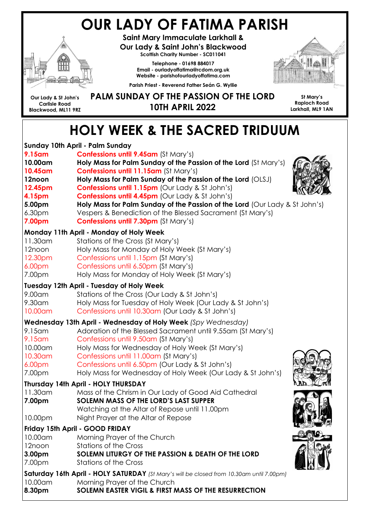# OUR LADY OF FATIMA PARISH



Saint Mary Immaculate Larkhall & Our Lady & Saint John's Blackwood Scottish Charity Number - SC011041

Telephone - 01698 884017 Email - ourladyoffatima@rcdom.org.uk Website - parishofourladyoffatima.com



Our Lady & St John's Carlisle Road Blackwood, ML11 9RZ

#### PALM SUNDAY OF THE PASSION OF THE LORD 10TH APRIL 2022

Parish Priest - Reverend Father Seán G. Wyllie

St Mary's Raploch Road Larkhall, ML9 1AN

# HOLY WEEK & THE SACRED TRIDUUM

| Sunday 10th April - Palm Sunday                                                          |                                                                             |  |  |  |
|------------------------------------------------------------------------------------------|-----------------------------------------------------------------------------|--|--|--|
| 9.15am                                                                                   | <b>Confessions until 9.45am (St Mary's)</b>                                 |  |  |  |
| 10.00am                                                                                  | Holy Mass for Palm Sunday of the Passion of the Lord (St Mary's)            |  |  |  |
| 10.45am                                                                                  | Confessions until 11.15am (St Mary's)                                       |  |  |  |
| 12noon                                                                                   | Holy Mass for Palm Sunday of the Passion of the Lord (OLSJ)                 |  |  |  |
| 12.45pm                                                                                  | <b>Confessions until 1.15pm (Our Lady &amp; St John's)</b>                  |  |  |  |
| 4.15pm                                                                                   | <b>Confessions until 4.45pm (Our Lady &amp; St John's)</b>                  |  |  |  |
| 5.00pm                                                                                   | Holy Mass for Palm Sunday of the Passion of the Lord (Our Lady & St John's) |  |  |  |
| 6.30 <sub>pm</sub>                                                                       | Vespers & Benediction of the Blessed Sacrament (St Mary's)                  |  |  |  |
| 7.00pm                                                                                   | <b>Confessions until 7.30pm (St Mary's)</b>                                 |  |  |  |
|                                                                                          | Monday 11th April - Monday of Holy Week                                     |  |  |  |
| 11.30am                                                                                  | Stations of the Cross (St Mary's)                                           |  |  |  |
| 12noon                                                                                   | Holy Mass for Monday of Holy Week (St Mary's)                               |  |  |  |
| 12.30pm                                                                                  | Confessions until 1.15pm (St Mary's)                                        |  |  |  |
| 6.00pm                                                                                   | Confessions until 6.50pm (St Mary's)                                        |  |  |  |
| 7.00pm                                                                                   | Holy Mass for Monday of Holy Week (St Mary's)                               |  |  |  |
|                                                                                          | <b>Tuesday 12th April - Tuesday of Holy Week</b>                            |  |  |  |
| 9.00am                                                                                   | Stations of the Cross (Our Lady & St John's)                                |  |  |  |
| 9.30am                                                                                   | Holy Mass for Tuesday of Holy Week (Our Lady & St John's)                   |  |  |  |
| 10.00am                                                                                  | Confessions until 10.30am (Our Lady & St John's)                            |  |  |  |
|                                                                                          | Wednesday 13th April - Wednesday of Holy Week (Spy Wednesday)               |  |  |  |
| 9.15am                                                                                   | Adoration of the Blessed Sacrament until 9.55am (St Mary's)                 |  |  |  |
| 9.15am                                                                                   | Confessions until 9.50am (St Mary's)                                        |  |  |  |
| 10.00am                                                                                  | Holy Mass for Wednesday of Holy Week (St Mary's)                            |  |  |  |
| 10.30am                                                                                  | Confessions until 11.00am (St Mary's)                                       |  |  |  |
| 6.00 <sub>pm</sub>                                                                       | Confessions until 6.50pm (Our Lady & St John's)                             |  |  |  |
| 7.00pm                                                                                   | Holy Mass for Wednesday of Holy Week (Our Lady & St John's)                 |  |  |  |
| Thursday 14th April - HOLY THURSDAY                                                      |                                                                             |  |  |  |
| 11.30am                                                                                  | Mass of the Chrism in Our Lady of Good Aid Cathedral                        |  |  |  |
| 7.00pm                                                                                   | SOLEMN MASS OF THE LORD'S LAST SUPPER                                       |  |  |  |
|                                                                                          | Watching at the Altar of Repose until 11.00pm                               |  |  |  |
| 10.00pm                                                                                  | Night Prayer at the Altar of Repose                                         |  |  |  |
|                                                                                          | Friday 15th April - GOOD FRIDAY                                             |  |  |  |
| 10.00am                                                                                  | Morning Prayer of the Church                                                |  |  |  |
| 12noon                                                                                   | <b>Stations of the Cross</b>                                                |  |  |  |
| 3.00 <sub>pm</sub>                                                                       | SOLEMN LITURGY OF THE PASSION & DEATH OF THE LORD                           |  |  |  |
| 7.00pm                                                                                   | <b>Stations of the Cross</b>                                                |  |  |  |
| Saturday 16th April - HOLY SATURDAY (St Mary's will be closed from 10.30am until 7.00pm) |                                                                             |  |  |  |
| 10.00am                                                                                  | Morning Prayer of the Church                                                |  |  |  |
| 8.30pm                                                                                   | SOLEMN EASTER VIGIL & FIRST MASS OF THE RESURRECTION                        |  |  |  |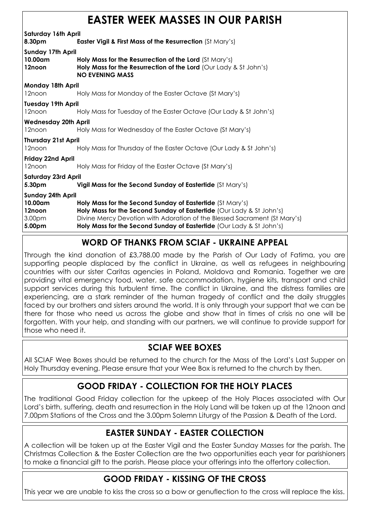|  |  | <b>EASTER WEEK MASSES IN OUR PARISH</b> |  |  |  |
|--|--|-----------------------------------------|--|--|--|
|--|--|-----------------------------------------|--|--|--|

Saturday 16th April

8.30pm **Easter Vigil & First Mass of the Resurrection** (St Mary's)

Sunday 17th April

10.00am Holy Mass for the Resurrection of the Lord (St Mary's) 12noon **Holy Mass for the Resurrection of the Lord** (Our Lady & St John's) NO EVENING MASS Monday 18th April

12noon Holy Mass for Monday of the Easter Octave (St Mary's)

Tuesday 19th April

12noon Holy Mass for Tuesday of the Easter Octave (Our Lady & St John's)

#### Wednesday 20th April

12noon Holy Mass for Wednesday of the Easter Octave (St Mary's)

#### Thursday 21st April

12noon Holy Mass for Thursday of the Easter Octave (Our Lady & St John's)

#### Friday 22nd April

12noon Holy Mass for Friday of the Easter Octave (St Mary's)

Saturday 23rd April

5.30pm Vigil Mass for the Second Sunday of Eastertide (St Mary's)

Sunday 24th April 10.00am Holy Mass for the Second Sunday of Eastertide (St Mary's)

12noon **Holy Mass for the Second Sunday of Eastertide** (Our Lady & St John's) 3.00pm Divine Mercy Devotion with Adoration of the Blessed Sacrament (St Mary's)

5.00pm Holy Mass for the Second Sunday of Eastertide (Our Lady & St John's)

#### WORD OF THANKS FROM SCIAF - UKRAINE APPEAL

Through the kind donation of £3,788.00 made by the Parish of Our Lady of Fatima, you are supporting people displaced by the conflict in Ukraine, as well as refugees in neighbouring countries with our sister Caritas agencies in Poland, Moldova and Romania. Together we are providing vital emergency food, water, safe accommodation, hygiene kits, transport and child support services during this turbulent time. The conflict in Ukraine, and the distress families are experiencing, are a stark reminder of the human tragedy of conflict and the daily struggles faced by our brothers and sisters around the world. It is only through your support that we can be there for those who need us across the globe and show that in times of crisis no one will be forgotten. With your help, and standing with our partners, we will continue to provide support for those who need it.

#### SCIAF WEE BOXES

All SCIAF Wee Boxes should be returned to the church for the Mass of the Lord's Last Supper on Holy Thursday evening. Please ensure that your Wee Box is returned to the church by then.

#### GOOD FRIDAY - COLLECTION FOR THE HOLY PLACES

The traditional Good Friday collection for the upkeep of the Holy Places associated with Our Lord's birth, suffering, death and resurrection in the Holy Land will be taken up at the 12noon and 7.00pm Stations of the Cross and the 3.00pm Solemn Liturgy of the Passion & Death of the Lord.

#### EASTER SUNDAY - EASTER COLLECTION

A collection will be taken up at the Easter Vigil and the Easter Sunday Masses for the parish. The Christmas Collection & the Easter Collection are the two opportunities each year for parishioners to make a financial gift to the parish. Please place your offerings into the offertory collection.

#### GOOD FRIDAY - KISSING OF THE CROSS

This year we are unable to kiss the cross so a bow or genuflection to the cross will replace the kiss.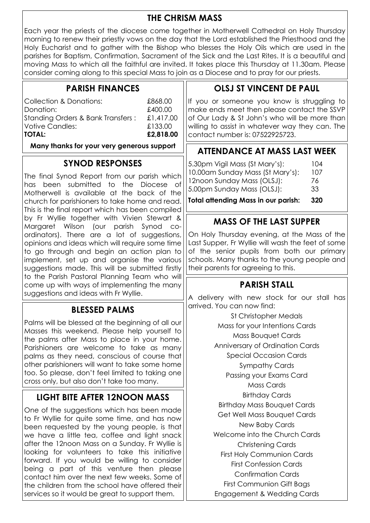#### THE CHRISM MASS

Each year the priests of the diocese come together in Motherwell Cathedral on Holy Thursday morning to renew their priestly vows on the day that the Lord established the Priesthood and the Holy Eucharist and to gather with the Bishop who blesses the Holy Oils which are used in the parishes for Baptism, Confirmation, Sacrament of the Sick and the Last Rites. It is a beautiful and moving Mass to which all the faithful are invited. It takes place this Thursday at 11.30am. Please consider coming along to this special Mass to join as a Diocese and to pray for our priests.

#### PARISH FINANCES

| Collection & Donations:           | £868.00   |
|-----------------------------------|-----------|
| Donation:                         | £400.00   |
| Standing Orders & Bank Transfers: | £1,417.00 |

#### SYNOD RESPONSES

The final Synod Report from our parish which has been submitted to the Diocese of Motherwell is available at the back of the church for parishioners to take home and read. This is the final report which has been compiled by Fr Wyllie together with Vivien Stewart & Margaret Wilson (our parish Synod coordinators). There are a lot of suggestions, opinions and ideas which will require some time to go through and begin an action plan to implement, set up and organise the various suggestions made. This will be submitted firstly to the Parish Pastoral Planning Team who will come up with ways of implementing the many suggestions and ideas with Fr Wyllie.

#### BLESSED PALMS

Palms will be blessed at the beginning of all our Masses this weekend. Please help yourself to the palms after Mass to place in your home. Parishioners are welcome to take as many palms as they need, conscious of course that other parishioners will want to take some home too. So please, don't feel limited to taking one cross only, but also don't take too many.

#### LIGHT BITE AFTER 12NOON MASS

One of the suggestions which has been made to Fr Wyllie for quite some time, and has now been requested by the young people, is that we have a little tea, coffee and light snack after the 12noon Mass on a Sunday. Fr Wyllie is looking for volunteers to take this initiative forward. If you would be willing to consider being a part of this venture then please contact him over the next few weeks. Some of the children from the school have offered their services so it would be great to support them.

### OLSJ ST VINCENT DE PAUL

If you or someone you know is struggling to make ends meet then please contact the SSVP of Our Lady & St John's who will be more than willing to assist in whatever way they can. The contact number is: 07522925723.

# Many thanks for your very generous support **ATTENDANCE AT MASS LAST WEEK**

| 10.00am Sunday Mass (St Mary's):<br>12noon Sunday Mass (OLSJ):<br>76 |     |
|----------------------------------------------------------------------|-----|
|                                                                      |     |
|                                                                      | 107 |
| 5.30pm Vigil Mass (St Mary's):                                       | 104 |

Total attending Mass in our parish: 320

#### MASS OF THE LAST SUPPER

On Holy Thursday evening, at the Mass of the Last Supper, Fr Wyllie will wash the feet of some of the senior pupils from both our primary schools. Many thanks to the young people and their parents for agreeing to this.

#### PARISH STALL

A delivery with new stock for our stall has arrived. You can now find:

> St Christopher Medals Mass for your Intentions Cards Mass Bouquet Cards Anniversary of Ordination Cards Special Occasion Cards Sympathy Cards Passing your Exams Card Mass Cards Birthday Cards Birthday Mass Bouquet Cards Get Well Mass Bouquet Cards New Baby Cards Welcome into the Church Cards Christening Cards First Holy Communion Cards First Confession Cards Confirmation Cards First Communion Gift Bags Engagement & Wedding Cards